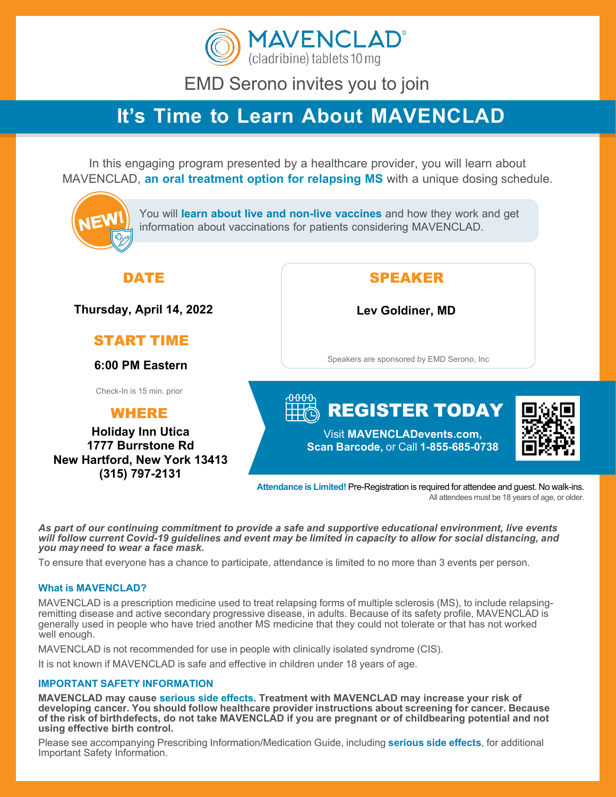

EMD Serono invites you to join

# **It's Time to Learn About MAVENCLAD**

In this engaging program presented by a healthcare provider, you will learn about MAVENCLAD, **an oral treatment option for relapsing MS** with a unique dosing schedule.



**Attendance is Limited!** Pre-Registration is required for attendee and guest. No walk-ins. All attendees must be 18 years of age, or older.

*As part of our continuing commitment to provide a safe and supportive educational environment, live events*  will follow current Covid-19 quidelines and event may be limited in capacity to allow for social distancing, and *you may need to wear a face mask.*

To ensure that everyone has a chance to participate, attendance is limited to no more than 3 events per person.

#### **What is MAVENCLAD?**

MAVENCLAD is a prescription medicine used to treat relapsing forms of multiple sclerosis (MS), to include relapsingremitting disease and active secondary progressive disease, in adults. Because of its safety profile, MAVENCLAD is generally used in people who have tried another MS medicine that they could not tolerate or that has not worked well enough.

MAVENCLAD is not recommended for use in people with clinically isolated syndrome (CIS).

It is not known if MAVENCLAD is safe and effective in children under 18 years of age.

#### **IMPORTANT SAFETY INFORMATION**

**MAVENCLAD may cause serious side effects. Treatment with MAVENCLAD may increase your risk of developing cancer. You should follow healthcare provider instructions about screening for cancer. Because of the risk of birthdefects, do not take MAVENCLAD if you are pregnant or of childbearing potential and not using effective birth control.**

Please see accompanying Prescribing Information/Medication Guide, including **serious side effects**, for additional Important Safety Information.